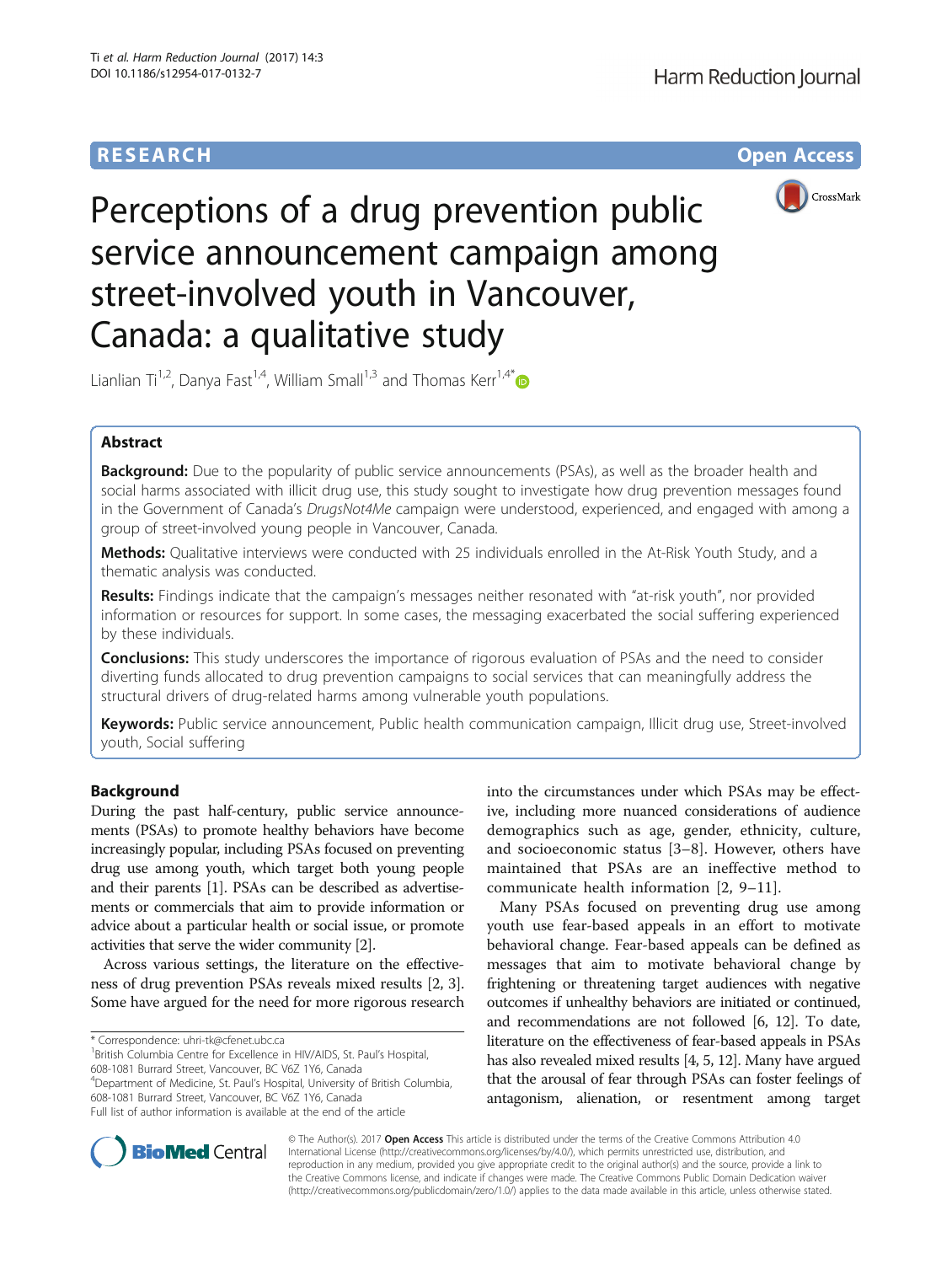# **RESEARCH CHE Open Access**



Perceptions of a drug prevention public service announcement campaign among street-involved youth in Vancouver, Canada: a qualitative study

Lianlian Ti<sup>1,2</sup>, Danya Fast<sup>1,4</sup>, William Small<sup>1,3</sup> and Thomas Kerr<sup>1,4\*</sup>

# Abstract

**Background:** Due to the popularity of public service announcements (PSAs), as well as the broader health and social harms associated with illicit drug use, this study sought to investigate how drug prevention messages found in the Government of Canada's DrugsNot4Me campaign were understood, experienced, and engaged with among a group of street-involved young people in Vancouver, Canada.

Methods: Qualitative interviews were conducted with 25 individuals enrolled in the At-Risk Youth Study, and a thematic analysis was conducted.

Results: Findings indicate that the campaign's messages neither resonated with "at-risk youth", nor provided information or resources for support. In some cases, the messaging exacerbated the social suffering experienced by these individuals.

**Conclusions:** This study underscores the importance of rigorous evaluation of PSAs and the need to consider diverting funds allocated to drug prevention campaigns to social services that can meaningfully address the structural drivers of drug-related harms among vulnerable youth populations.

Keywords: Public service announcement, Public health communication campaign, Illicit drug use, Street-involved youth, Social suffering

# Background

During the past half-century, public service announcements (PSAs) to promote healthy behaviors have become increasingly popular, including PSAs focused on preventing drug use among youth, which target both young people and their parents [\[1](#page-6-0)]. PSAs can be described as advertisements or commercials that aim to provide information or advice about a particular health or social issue, or promote activities that serve the wider community [\[2\]](#page-6-0).

Across various settings, the literature on the effectiveness of drug prevention PSAs reveals mixed results [\[2](#page-6-0), [3](#page-6-0)]. Some have argued for the need for more rigorous research

<sup>1</sup> British Columbia Centre for Excellence in HIV/AIDS, St. Paul's Hospital, 608-1081 Burrard Street, Vancouver, BC V6Z 1Y6, Canada

4 Department of Medicine, St. Paul's Hospital, University of British Columbia, 608-1081 Burrard Street, Vancouver, BC V6Z 1Y6, Canada

into the circumstances under which PSAs may be effective, including more nuanced considerations of audience demographics such as age, gender, ethnicity, culture, and socioeconomic status [\[3](#page-6-0)–[8](#page-7-0)]. However, others have maintained that PSAs are an ineffective method to communicate health information [\[2](#page-6-0), [9](#page-7-0)–[11\]](#page-7-0).

Many PSAs focused on preventing drug use among youth use fear-based appeals in an effort to motivate behavioral change. Fear-based appeals can be defined as messages that aim to motivate behavioral change by frightening or threatening target audiences with negative outcomes if unhealthy behaviors are initiated or continued, and recommendations are not followed [\[6,](#page-6-0) [12\]](#page-7-0). To date, literature on the effectiveness of fear-based appeals in PSAs has also revealed mixed results [[4](#page-6-0), [5,](#page-6-0) [12\]](#page-7-0). Many have argued that the arousal of fear through PSAs can foster feelings of antagonism, alienation, or resentment among target



© The Author(s). 2017 **Open Access** This article is distributed under the terms of the Creative Commons Attribution 4.0 International License [\(http://creativecommons.org/licenses/by/4.0/](http://creativecommons.org/licenses/by/4.0/)), which permits unrestricted use, distribution, and reproduction in any medium, provided you give appropriate credit to the original author(s) and the source, provide a link to the Creative Commons license, and indicate if changes were made. The Creative Commons Public Domain Dedication waiver [\(http://creativecommons.org/publicdomain/zero/1.0/](http://creativecommons.org/publicdomain/zero/1.0/)) applies to the data made available in this article, unless otherwise stated.

<sup>\*</sup> Correspondence: [uhri-tk@cfenet.ubc.ca](mailto:uhri-tk@cfenet.ubc.ca) <sup>1</sup>

Full list of author information is available at the end of the article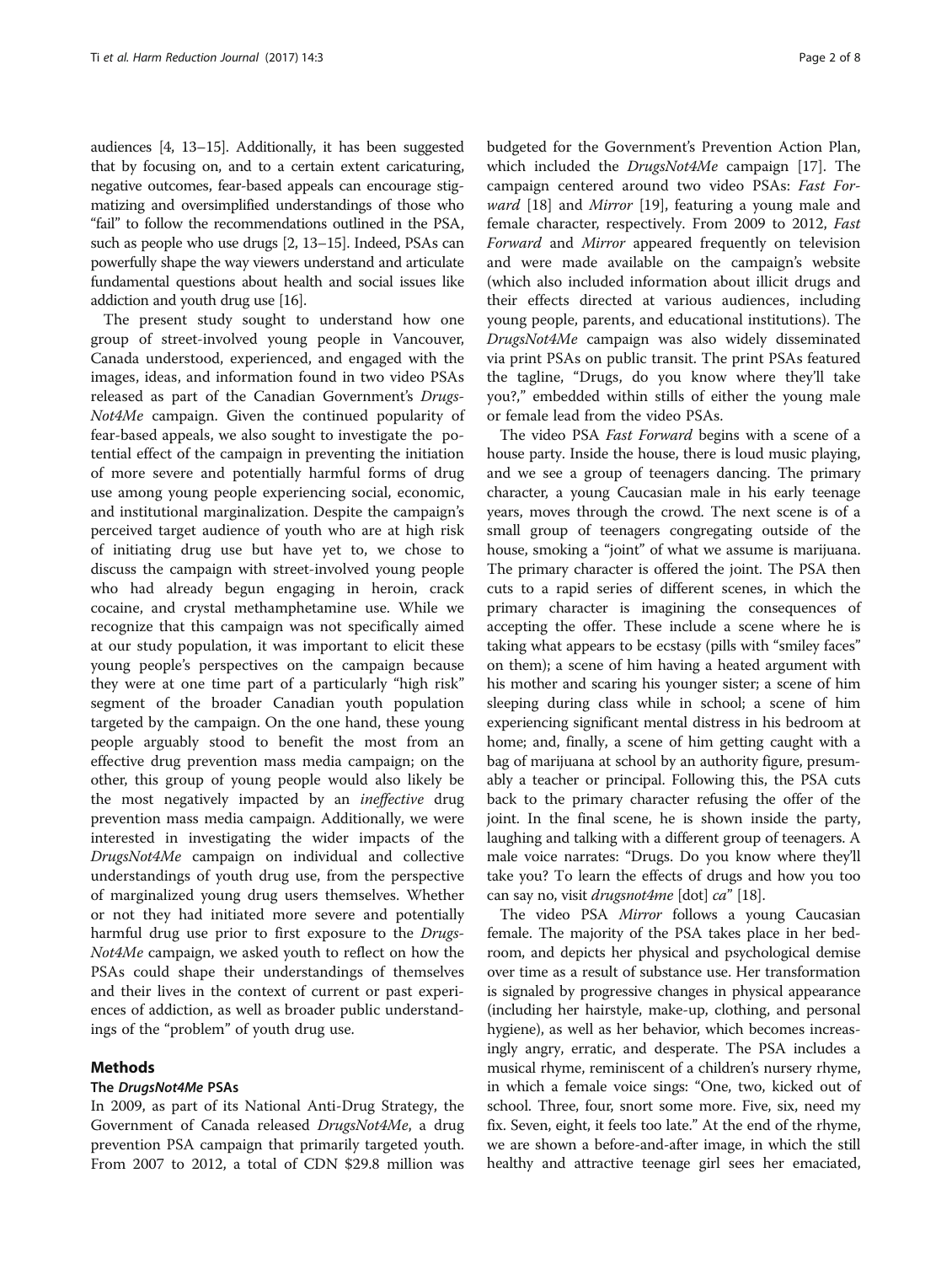audiences [\[4](#page-6-0), [13](#page-7-0)–[15](#page-7-0)]. Additionally, it has been suggested that by focusing on, and to a certain extent caricaturing, negative outcomes, fear-based appeals can encourage stigmatizing and oversimplified understandings of those who "fail" to follow the recommendations outlined in the PSA, such as people who use drugs [[2](#page-6-0), [13](#page-7-0)–[15\]](#page-7-0). Indeed, PSAs can powerfully shape the way viewers understand and articulate fundamental questions about health and social issues like addiction and youth drug use [\[16\]](#page-7-0).

The present study sought to understand how one group of street-involved young people in Vancouver, Canada understood, experienced, and engaged with the images, ideas, and information found in two video PSAs released as part of the Canadian Government's Drugs-Not4Me campaign. Given the continued popularity of fear-based appeals, we also sought to investigate the potential effect of the campaign in preventing the initiation of more severe and potentially harmful forms of drug use among young people experiencing social, economic, and institutional marginalization. Despite the campaign's perceived target audience of youth who are at high risk of initiating drug use but have yet to, we chose to discuss the campaign with street-involved young people who had already begun engaging in heroin, crack cocaine, and crystal methamphetamine use. While we recognize that this campaign was not specifically aimed at our study population, it was important to elicit these young people's perspectives on the campaign because they were at one time part of a particularly "high risk" segment of the broader Canadian youth population targeted by the campaign. On the one hand, these young people arguably stood to benefit the most from an effective drug prevention mass media campaign; on the other, this group of young people would also likely be the most negatively impacted by an ineffective drug prevention mass media campaign. Additionally, we were interested in investigating the wider impacts of the DrugsNot4Me campaign on individual and collective understandings of youth drug use, from the perspective of marginalized young drug users themselves. Whether or not they had initiated more severe and potentially harmful drug use prior to first exposure to the Drugs-Not4Me campaign, we asked youth to reflect on how the PSAs could shape their understandings of themselves and their lives in the context of current or past experiences of addiction, as well as broader public understandings of the "problem" of youth drug use.

# Methods

# The DrugsNot4Me PSAs

In 2009, as part of its National Anti-Drug Strategy, the Government of Canada released DrugsNot4Me, a drug prevention PSA campaign that primarily targeted youth. From 2007 to 2012, a total of CDN \$29.8 million was

budgeted for the Government's Prevention Action Plan, which included the *DrugsNot4Me* campaign [\[17\]](#page-7-0). The campaign centered around two video PSAs: Fast For*ward* [[18\]](#page-7-0) and *Mirror* [\[19\]](#page-7-0), featuring a young male and female character, respectively. From 2009 to 2012, Fast Forward and Mirror appeared frequently on television and were made available on the campaign's website (which also included information about illicit drugs and their effects directed at various audiences, including young people, parents, and educational institutions). The DrugsNot4Me campaign was also widely disseminated via print PSAs on public transit. The print PSAs featured the tagline, "Drugs, do you know where they'll take you?," embedded within stills of either the young male or female lead from the video PSAs.

The video PSA Fast Forward begins with a scene of a house party. Inside the house, there is loud music playing, and we see a group of teenagers dancing. The primary character, a young Caucasian male in his early teenage years, moves through the crowd. The next scene is of a small group of teenagers congregating outside of the house, smoking a "joint" of what we assume is marijuana. The primary character is offered the joint. The PSA then cuts to a rapid series of different scenes, in which the primary character is imagining the consequences of accepting the offer. These include a scene where he is taking what appears to be ecstasy (pills with "smiley faces" on them); a scene of him having a heated argument with his mother and scaring his younger sister; a scene of him sleeping during class while in school; a scene of him experiencing significant mental distress in his bedroom at home; and, finally, a scene of him getting caught with a bag of marijuana at school by an authority figure, presumably a teacher or principal. Following this, the PSA cuts back to the primary character refusing the offer of the joint. In the final scene, he is shown inside the party, laughing and talking with a different group of teenagers. A male voice narrates: "Drugs. Do you know where they'll take you? To learn the effects of drugs and how you too can say no, visit drugsnot4me [dot] ca" [\[18\]](#page-7-0).

The video PSA Mirror follows a young Caucasian female. The majority of the PSA takes place in her bedroom, and depicts her physical and psychological demise over time as a result of substance use. Her transformation is signaled by progressive changes in physical appearance (including her hairstyle, make-up, clothing, and personal hygiene), as well as her behavior, which becomes increasingly angry, erratic, and desperate. The PSA includes a musical rhyme, reminiscent of a children's nursery rhyme, in which a female voice sings: "One, two, kicked out of school. Three, four, snort some more. Five, six, need my fix. Seven, eight, it feels too late." At the end of the rhyme, we are shown a before-and-after image, in which the still healthy and attractive teenage girl sees her emaciated,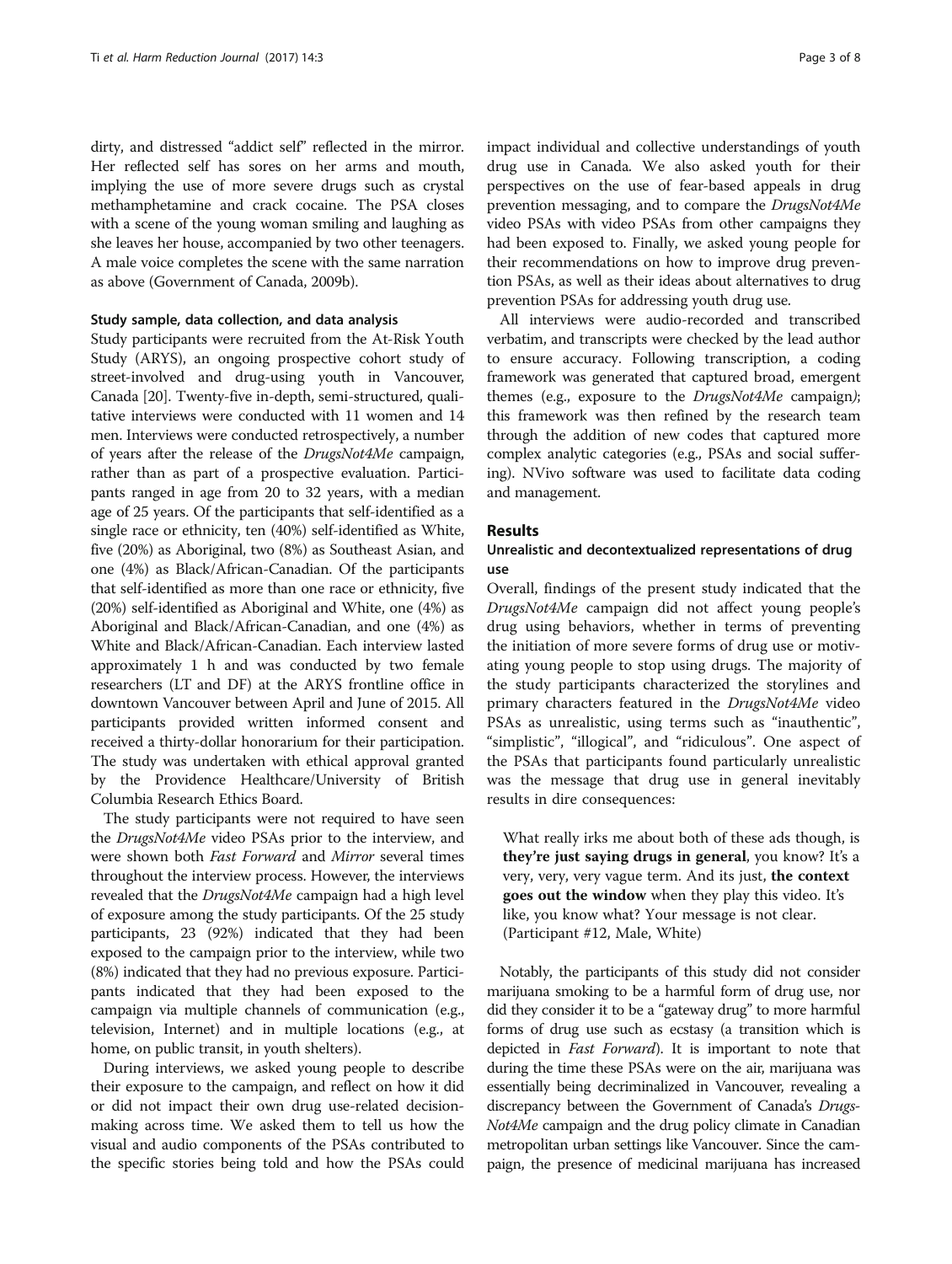dirty, and distressed "addict self" reflected in the mirror. Her reflected self has sores on her arms and mouth, implying the use of more severe drugs such as crystal methamphetamine and crack cocaine. The PSA closes with a scene of the young woman smiling and laughing as she leaves her house, accompanied by two other teenagers. A male voice completes the scene with the same narration as above (Government of Canada, 2009b).

# Study sample, data collection, and data analysis

Study participants were recruited from the At-Risk Youth Study (ARYS), an ongoing prospective cohort study of street-involved and drug-using youth in Vancouver, Canada [\[20](#page-7-0)]. Twenty-five in-depth, semi-structured, qualitative interviews were conducted with 11 women and 14 men. Interviews were conducted retrospectively, a number of years after the release of the DrugsNot4Me campaign, rather than as part of a prospective evaluation. Participants ranged in age from 20 to 32 years, with a median age of 25 years. Of the participants that self-identified as a single race or ethnicity, ten (40%) self-identified as White, five (20%) as Aboriginal, two (8%) as Southeast Asian, and one (4%) as Black/African-Canadian. Of the participants that self-identified as more than one race or ethnicity, five (20%) self-identified as Aboriginal and White, one (4%) as Aboriginal and Black/African-Canadian, and one (4%) as White and Black/African-Canadian. Each interview lasted approximately 1 h and was conducted by two female researchers (LT and DF) at the ARYS frontline office in downtown Vancouver between April and June of 2015. All participants provided written informed consent and received a thirty-dollar honorarium for their participation. The study was undertaken with ethical approval granted by the Providence Healthcare/University of British Columbia Research Ethics Board.

The study participants were not required to have seen the DrugsNot4Me video PSAs prior to the interview, and were shown both Fast Forward and Mirror several times throughout the interview process. However, the interviews revealed that the DrugsNot4Me campaign had a high level of exposure among the study participants. Of the 25 study participants, 23 (92%) indicated that they had been exposed to the campaign prior to the interview, while two (8%) indicated that they had no previous exposure. Participants indicated that they had been exposed to the campaign via multiple channels of communication (e.g., television, Internet) and in multiple locations (e.g., at home, on public transit, in youth shelters).

During interviews, we asked young people to describe their exposure to the campaign, and reflect on how it did or did not impact their own drug use-related decisionmaking across time. We asked them to tell us how the visual and audio components of the PSAs contributed to the specific stories being told and how the PSAs could impact individual and collective understandings of youth drug use in Canada. We also asked youth for their perspectives on the use of fear-based appeals in drug prevention messaging, and to compare the DrugsNot4Me video PSAs with video PSAs from other campaigns they had been exposed to. Finally, we asked young people for their recommendations on how to improve drug prevention PSAs, as well as their ideas about alternatives to drug prevention PSAs for addressing youth drug use.

All interviews were audio-recorded and transcribed verbatim, and transcripts were checked by the lead author to ensure accuracy. Following transcription, a coding framework was generated that captured broad, emergent themes (e.g., exposure to the DrugsNot4Me campaign); this framework was then refined by the research team through the addition of new codes that captured more complex analytic categories (e.g., PSAs and social suffering). NVivo software was used to facilitate data coding and management.

# Results

# Unrealistic and decontextualized representations of drug use

Overall, findings of the present study indicated that the DrugsNot4Me campaign did not affect young people's drug using behaviors, whether in terms of preventing the initiation of more severe forms of drug use or motivating young people to stop using drugs. The majority of the study participants characterized the storylines and primary characters featured in the DrugsNot4Me video PSAs as unrealistic, using terms such as "inauthentic", "simplistic", "illogical", and "ridiculous". One aspect of the PSAs that participants found particularly unrealistic was the message that drug use in general inevitably results in dire consequences:

What really irks me about both of these ads though, is they're just saying drugs in general, you know? It's a very, very, very vague term. And its just, the context goes out the window when they play this video. It's like, you know what? Your message is not clear. (Participant #12, Male, White)

Notably, the participants of this study did not consider marijuana smoking to be a harmful form of drug use, nor did they consider it to be a "gateway drug" to more harmful forms of drug use such as ecstasy (a transition which is depicted in *Fast Forward*). It is important to note that during the time these PSAs were on the air, marijuana was essentially being decriminalized in Vancouver, revealing a discrepancy between the Government of Canada's Drugs-Not4Me campaign and the drug policy climate in Canadian metropolitan urban settings like Vancouver. Since the campaign, the presence of medicinal marijuana has increased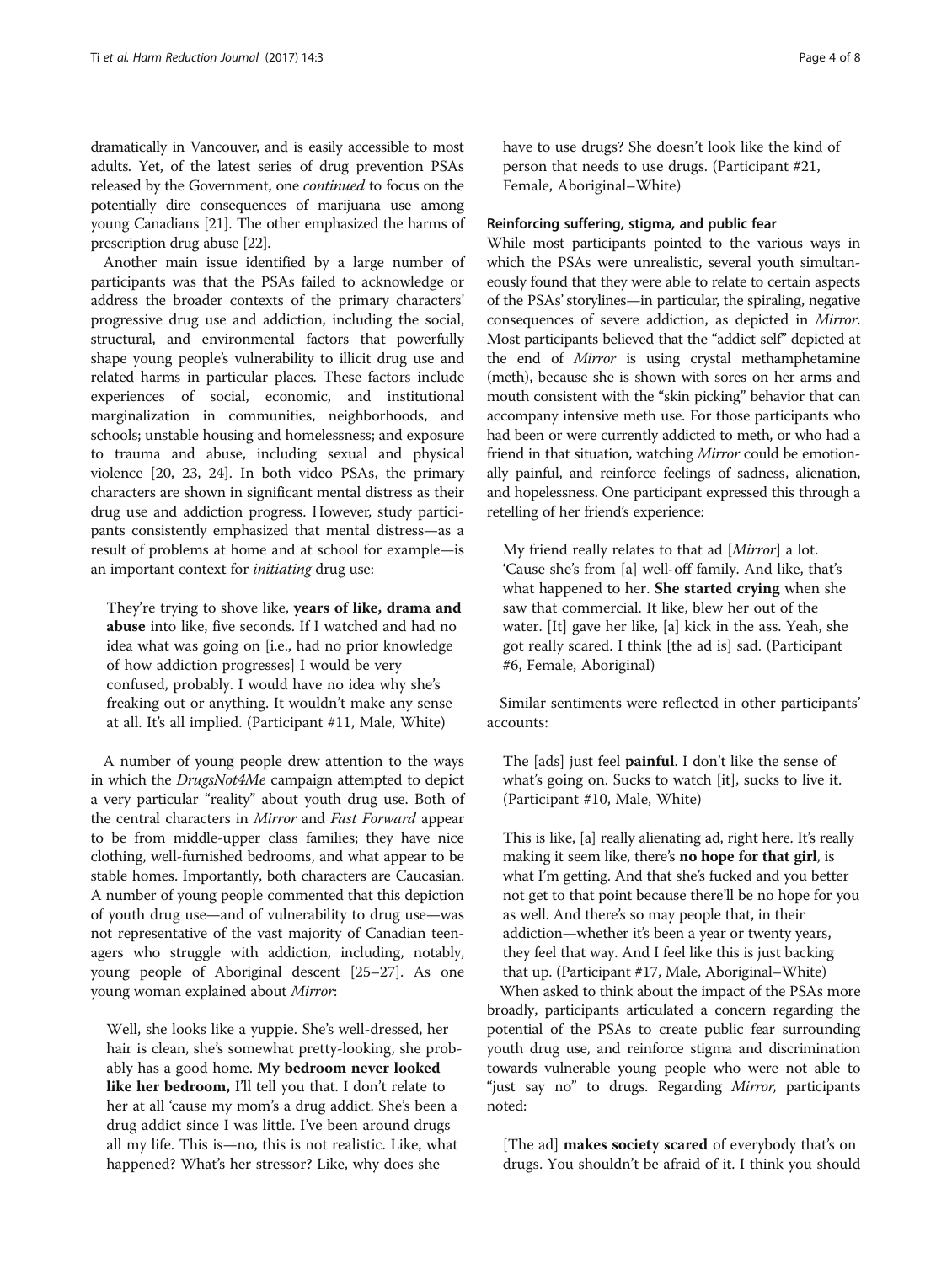dramatically in Vancouver, and is easily accessible to most adults. Yet, of the latest series of drug prevention PSAs released by the Government, one continued to focus on the potentially dire consequences of marijuana use among young Canadians [[21](#page-7-0)]. The other emphasized the harms of prescription drug abuse [\[22](#page-7-0)].

Another main issue identified by a large number of participants was that the PSAs failed to acknowledge or address the broader contexts of the primary characters' progressive drug use and addiction, including the social, structural, and environmental factors that powerfully shape young people's vulnerability to illicit drug use and related harms in particular places. These factors include experiences of social, economic, and institutional marginalization in communities, neighborhoods, and schools; unstable housing and homelessness; and exposure to trauma and abuse, including sexual and physical violence [\[20](#page-7-0), [23, 24](#page-7-0)]. In both video PSAs, the primary characters are shown in significant mental distress as their drug use and addiction progress. However, study participants consistently emphasized that mental distress—as a result of problems at home and at school for example—is an important context for initiating drug use:

They're trying to shove like, years of like, drama and abuse into like, five seconds. If I watched and had no idea what was going on [i.e., had no prior knowledge of how addiction progresses] I would be very confused, probably. I would have no idea why she's freaking out or anything. It wouldn't make any sense at all. It's all implied. (Participant #11, Male, White)

A number of young people drew attention to the ways in which the DrugsNot4Me campaign attempted to depict a very particular "reality" about youth drug use. Both of the central characters in Mirror and Fast Forward appear to be from middle-upper class families; they have nice clothing, well-furnished bedrooms, and what appear to be stable homes. Importantly, both characters are Caucasian. A number of young people commented that this depiction of youth drug use—and of vulnerability to drug use—was not representative of the vast majority of Canadian teenagers who struggle with addiction, including, notably, young people of Aboriginal descent [\[25](#page-7-0)–[27](#page-7-0)]. As one young woman explained about Mirror:

Well, she looks like a yuppie. She's well-dressed, her hair is clean, she's somewhat pretty-looking, she probably has a good home. My bedroom never looked like her bedroom, I'll tell you that. I don't relate to her at all 'cause my mom's a drug addict. She's been a drug addict since I was little. I've been around drugs all my life. This is—no, this is not realistic. Like, what happened? What's her stressor? Like, why does she

have to use drugs? She doesn't look like the kind of person that needs to use drugs. (Participant #21, Female, Aboriginal–White)

# Reinforcing suffering, stigma, and public fear

While most participants pointed to the various ways in which the PSAs were unrealistic, several youth simultaneously found that they were able to relate to certain aspects of the PSAs'storylines—in particular, the spiraling, negative consequences of severe addiction, as depicted in Mirror. Most participants believed that the "addict self" depicted at the end of Mirror is using crystal methamphetamine (meth), because she is shown with sores on her arms and mouth consistent with the "skin picking" behavior that can accompany intensive meth use. For those participants who had been or were currently addicted to meth, or who had a friend in that situation, watching Mirror could be emotionally painful, and reinforce feelings of sadness, alienation, and hopelessness. One participant expressed this through a retelling of her friend's experience:

My friend really relates to that ad [Mirror] a lot. 'Cause she's from [a] well-off family. And like, that's what happened to her. She started crying when she saw that commercial. It like, blew her out of the water. [It] gave her like, [a] kick in the ass. Yeah, she got really scared. I think [the ad is] sad. (Participant #6, Female, Aboriginal)

Similar sentiments were reflected in other participants' accounts:

The [ads] just feel **painful**. I don't like the sense of what's going on. Sucks to watch [it], sucks to live it. (Participant #10, Male, White)

This is like, [a] really alienating ad, right here. It's really making it seem like, there's no hope for that girl, is what I'm getting. And that she's fucked and you better not get to that point because there'll be no hope for you as well. And there's so may people that, in their addiction—whether it's been a year or twenty years, they feel that way. And I feel like this is just backing that up. (Participant #17, Male, Aboriginal–White)

When asked to think about the impact of the PSAs more broadly, participants articulated a concern regarding the potential of the PSAs to create public fear surrounding youth drug use, and reinforce stigma and discrimination towards vulnerable young people who were not able to "just say no" to drugs. Regarding Mirror, participants noted:

[The ad] **makes society scared** of everybody that's on drugs. You shouldn't be afraid of it. I think you should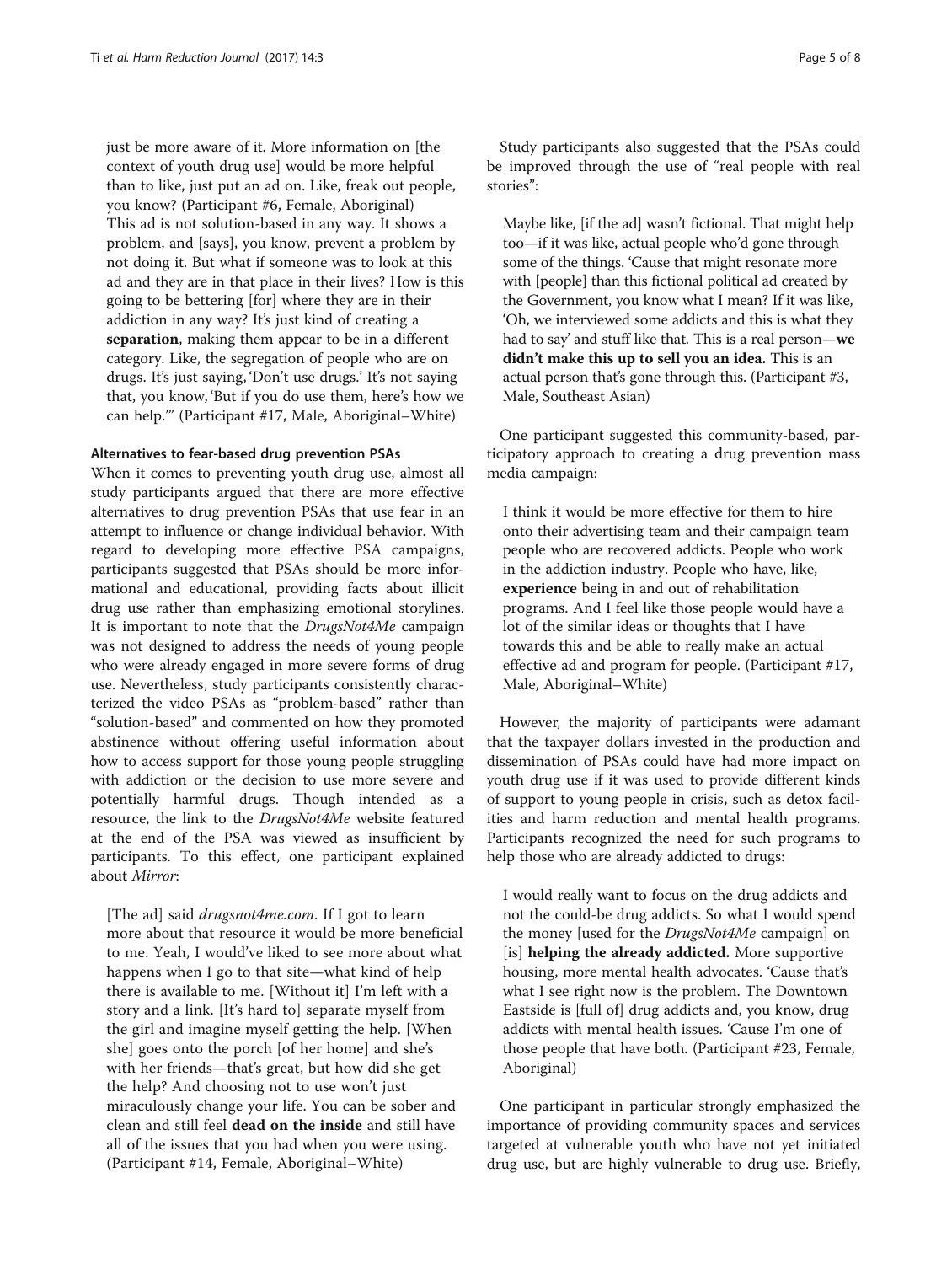just be more aware of it. More information on [the context of youth drug use] would be more helpful than to like, just put an ad on. Like, freak out people, you know? (Participant #6, Female, Aboriginal) This ad is not solution-based in any way. It shows a problem, and [says], you know, prevent a problem by not doing it. But what if someone was to look at this ad and they are in that place in their lives? How is this going to be bettering [for] where they are in their addiction in any way? It's just kind of creating a separation, making them appear to be in a different category. Like, the segregation of people who are on drugs. It's just saying, 'Don't use drugs.' It's not saying that, you know, 'But if you do use them, here's how we can help.'" (Participant #17, Male, Aboriginal–White)

### Alternatives to fear-based drug prevention PSAs

When it comes to preventing youth drug use, almost all study participants argued that there are more effective alternatives to drug prevention PSAs that use fear in an attempt to influence or change individual behavior. With regard to developing more effective PSA campaigns, participants suggested that PSAs should be more informational and educational, providing facts about illicit drug use rather than emphasizing emotional storylines. It is important to note that the DrugsNot4Me campaign was not designed to address the needs of young people who were already engaged in more severe forms of drug use. Nevertheless, study participants consistently characterized the video PSAs as "problem-based" rather than "solution-based" and commented on how they promoted abstinence without offering useful information about how to access support for those young people struggling with addiction or the decision to use more severe and potentially harmful drugs. Though intended as a resource, the link to the DrugsNot4Me website featured at the end of the PSA was viewed as insufficient by participants. To this effect, one participant explained about Mirror:

[The ad] said *drugsnot4me.com*. If I got to learn more about that resource it would be more beneficial to me. Yeah, I would've liked to see more about what happens when I go to that site—what kind of help there is available to me. [Without it] I'm left with a story and a link. [It's hard to] separate myself from the girl and imagine myself getting the help. [When she] goes onto the porch [of her home] and she's with her friends—that's great, but how did she get the help? And choosing not to use won't just miraculously change your life. You can be sober and clean and still feel dead on the inside and still have all of the issues that you had when you were using. (Participant #14, Female, Aboriginal–White)

Study participants also suggested that the PSAs could be improved through the use of "real people with real stories":

Maybe like, [if the ad] wasn't fictional. That might help too—if it was like, actual people who'd gone through some of the things. 'Cause that might resonate more with [people] than this fictional political ad created by the Government, you know what I mean? If it was like, 'Oh, we interviewed some addicts and this is what they had to say' and stuff like that. This is a real person—we didn't make this up to sell you an idea. This is an actual person that's gone through this. (Participant #3, Male, Southeast Asian)

One participant suggested this community-based, participatory approach to creating a drug prevention mass media campaign:

I think it would be more effective for them to hire onto their advertising team and their campaign team people who are recovered addicts. People who work in the addiction industry. People who have, like, experience being in and out of rehabilitation programs. And I feel like those people would have a lot of the similar ideas or thoughts that I have towards this and be able to really make an actual effective ad and program for people. (Participant #17, Male, Aboriginal–White)

However, the majority of participants were adamant that the taxpayer dollars invested in the production and dissemination of PSAs could have had more impact on youth drug use if it was used to provide different kinds of support to young people in crisis, such as detox facilities and harm reduction and mental health programs. Participants recognized the need for such programs to help those who are already addicted to drugs:

I would really want to focus on the drug addicts and not the could-be drug addicts. So what I would spend the money [used for the DrugsNot4Me campaign] on [is] helping the already addicted. More supportive housing, more mental health advocates. 'Cause that's what I see right now is the problem. The Downtown Eastside is [full of] drug addicts and, you know, drug addicts with mental health issues. 'Cause I'm one of those people that have both. (Participant #23, Female, Aboriginal)

One participant in particular strongly emphasized the importance of providing community spaces and services targeted at vulnerable youth who have not yet initiated drug use, but are highly vulnerable to drug use. Briefly,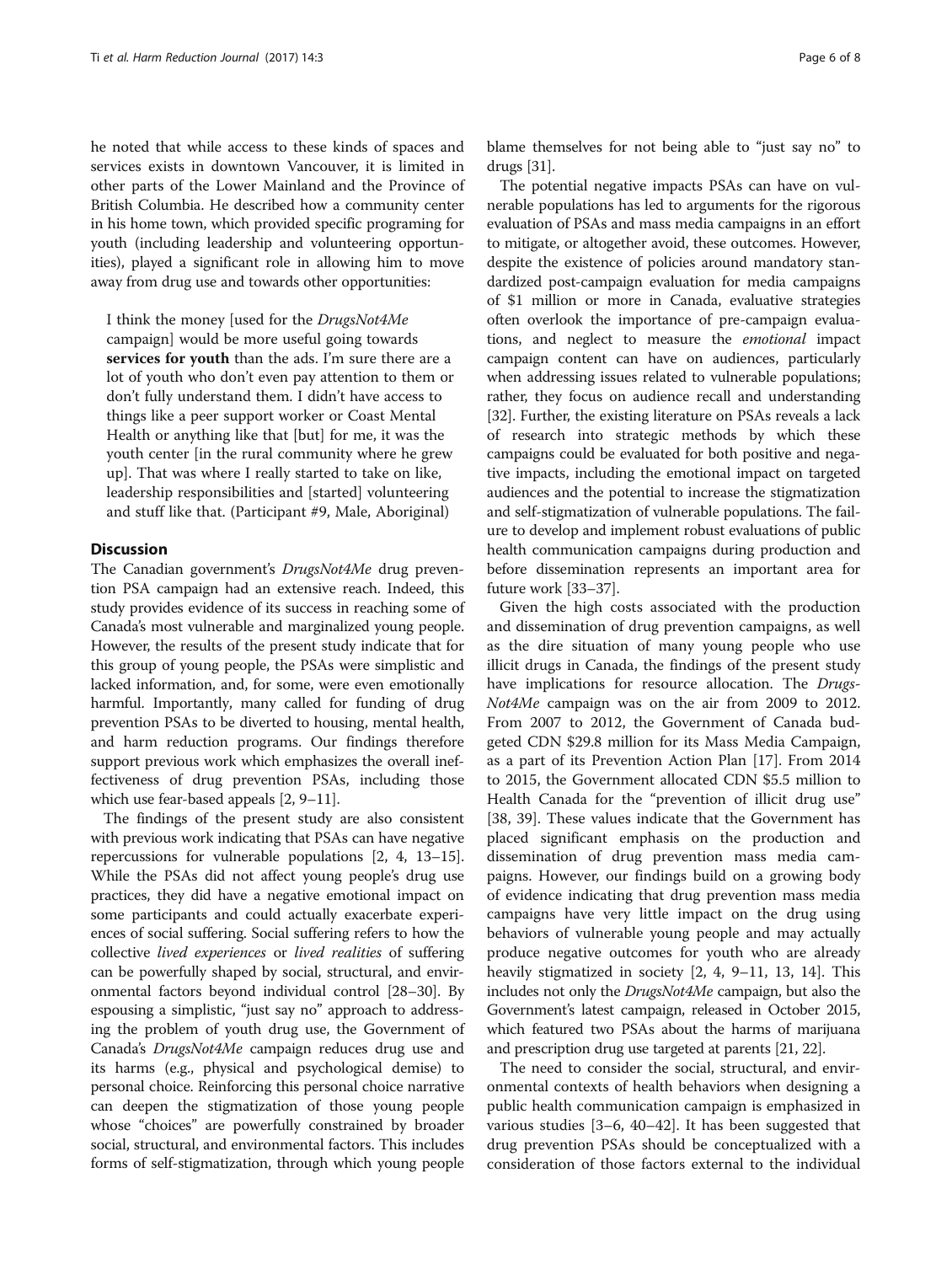he noted that while access to these kinds of spaces and services exists in downtown Vancouver, it is limited in other parts of the Lower Mainland and the Province of British Columbia. He described how a community center in his home town, which provided specific programing for youth (including leadership and volunteering opportunities), played a significant role in allowing him to move away from drug use and towards other opportunities:

I think the money [used for the DrugsNot4Me campaign] would be more useful going towards services for youth than the ads. I'm sure there are a lot of youth who don't even pay attention to them or don't fully understand them. I didn't have access to things like a peer support worker or Coast Mental Health or anything like that [but] for me, it was the youth center [in the rural community where he grew up]. That was where I really started to take on like, leadership responsibilities and [started] volunteering and stuff like that. (Participant #9, Male, Aboriginal)

# **Discussion**

The Canadian government's DrugsNot4Me drug prevention PSA campaign had an extensive reach. Indeed, this study provides evidence of its success in reaching some of Canada's most vulnerable and marginalized young people. However, the results of the present study indicate that for this group of young people, the PSAs were simplistic and lacked information, and, for some, were even emotionally harmful. Importantly, many called for funding of drug prevention PSAs to be diverted to housing, mental health, and harm reduction programs. Our findings therefore support previous work which emphasizes the overall ineffectiveness of drug prevention PSAs, including those which use fear-based appeals [[2,](#page-6-0) [9](#page-7-0)–[11\]](#page-7-0).

The findings of the present study are also consistent with previous work indicating that PSAs can have negative repercussions for vulnerable populations [[2](#page-6-0), [4,](#page-6-0) [13](#page-7-0)–[15](#page-7-0)]. While the PSAs did not affect young people's drug use practices, they did have a negative emotional impact on some participants and could actually exacerbate experiences of social suffering. Social suffering refers to how the collective lived experiences or lived realities of suffering can be powerfully shaped by social, structural, and environmental factors beyond individual control [\[28](#page-7-0)–[30\]](#page-7-0). By espousing a simplistic, "just say no" approach to addressing the problem of youth drug use, the Government of Canada's DrugsNot4Me campaign reduces drug use and its harms (e.g., physical and psychological demise) to personal choice. Reinforcing this personal choice narrative can deepen the stigmatization of those young people whose "choices" are powerfully constrained by broader social, structural, and environmental factors. This includes forms of self-stigmatization, through which young people

blame themselves for not being able to "just say no" to drugs [[31](#page-7-0)].

The potential negative impacts PSAs can have on vulnerable populations has led to arguments for the rigorous evaluation of PSAs and mass media campaigns in an effort to mitigate, or altogether avoid, these outcomes. However, despite the existence of policies around mandatory standardized post-campaign evaluation for media campaigns of \$1 million or more in Canada, evaluative strategies often overlook the importance of pre-campaign evaluations, and neglect to measure the emotional impact campaign content can have on audiences, particularly when addressing issues related to vulnerable populations; rather, they focus on audience recall and understanding [[32](#page-7-0)]. Further, the existing literature on PSAs reveals a lack of research into strategic methods by which these campaigns could be evaluated for both positive and negative impacts, including the emotional impact on targeted audiences and the potential to increase the stigmatization and self-stigmatization of vulnerable populations. The failure to develop and implement robust evaluations of public health communication campaigns during production and before dissemination represents an important area for future work [[33](#page-7-0)–[37\]](#page-7-0).

Given the high costs associated with the production and dissemination of drug prevention campaigns, as well as the dire situation of many young people who use illicit drugs in Canada, the findings of the present study have implications for resource allocation. The Drugs-Not4Me campaign was on the air from 2009 to 2012. From 2007 to 2012, the Government of Canada budgeted CDN \$29.8 million for its Mass Media Campaign, as a part of its Prevention Action Plan [\[17](#page-7-0)]. From 2014 to 2015, the Government allocated CDN \$5.5 million to Health Canada for the "prevention of illicit drug use" [[38, 39](#page-7-0)]. These values indicate that the Government has placed significant emphasis on the production and dissemination of drug prevention mass media campaigns. However, our findings build on a growing body of evidence indicating that drug prevention mass media campaigns have very little impact on the drug using behaviors of vulnerable young people and may actually produce negative outcomes for youth who are already heavily stigmatized in society [\[2](#page-6-0), [4](#page-6-0), [9](#page-7-0)–[11](#page-7-0), [13, 14\]](#page-7-0). This includes not only the DrugsNot4Me campaign, but also the Government's latest campaign, released in October 2015, which featured two PSAs about the harms of marijuana and prescription drug use targeted at parents [\[21](#page-7-0), [22\]](#page-7-0).

The need to consider the social, structural, and environmental contexts of health behaviors when designing a public health communication campaign is emphasized in various studies [[3](#page-6-0)–[6,](#page-6-0) [40](#page-7-0)–[42\]](#page-7-0). It has been suggested that drug prevention PSAs should be conceptualized with a consideration of those factors external to the individual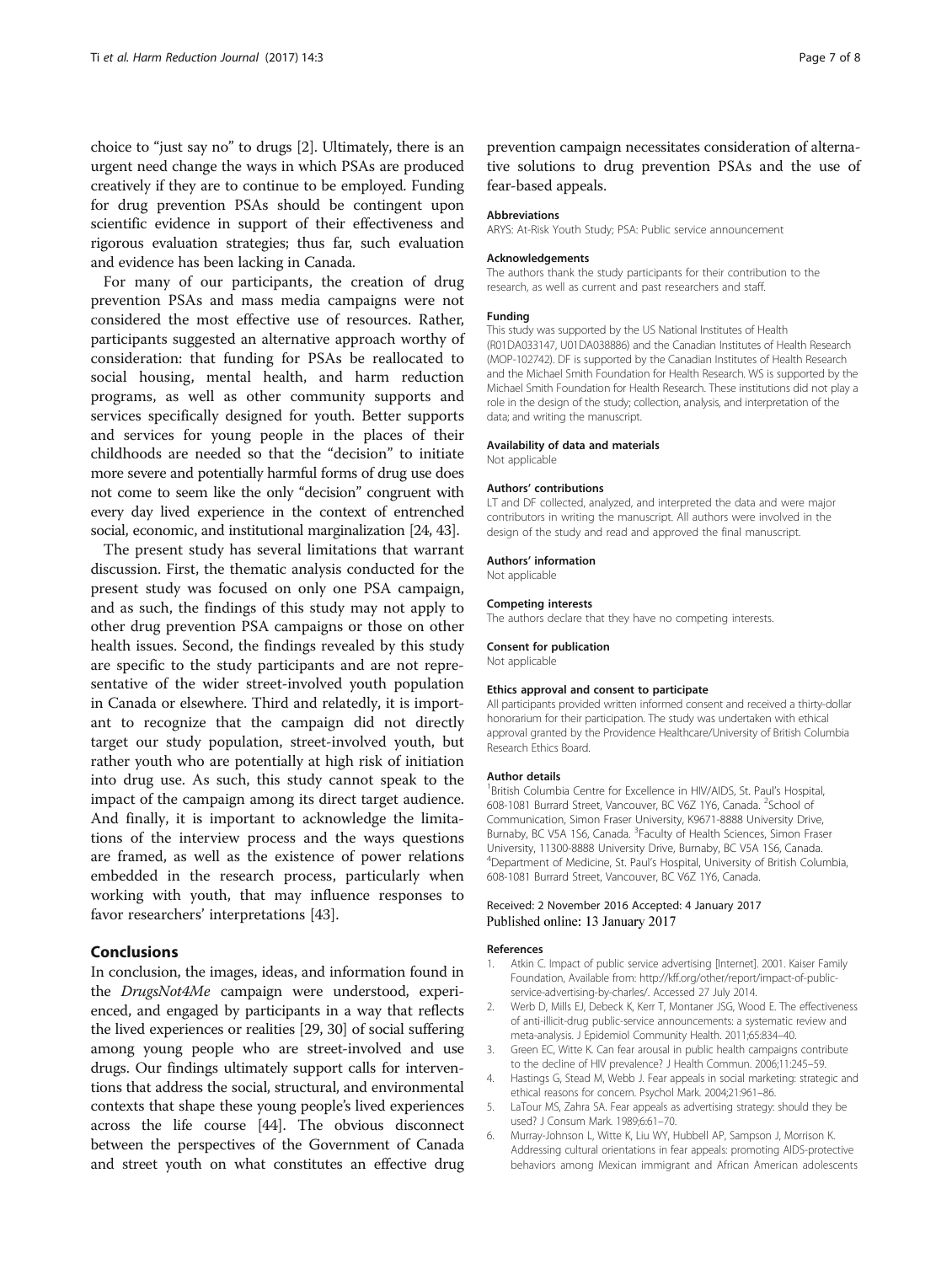<span id="page-6-0"></span>choice to "just say no" to drugs [2]. Ultimately, there is an urgent need change the ways in which PSAs are produced creatively if they are to continue to be employed. Funding for drug prevention PSAs should be contingent upon scientific evidence in support of their effectiveness and rigorous evaluation strategies; thus far, such evaluation and evidence has been lacking in Canada.

For many of our participants, the creation of drug prevention PSAs and mass media campaigns were not considered the most effective use of resources. Rather, participants suggested an alternative approach worthy of consideration: that funding for PSAs be reallocated to social housing, mental health, and harm reduction programs, as well as other community supports and services specifically designed for youth. Better supports and services for young people in the places of their childhoods are needed so that the "decision" to initiate more severe and potentially harmful forms of drug use does not come to seem like the only "decision" congruent with every day lived experience in the context of entrenched social, economic, and institutional marginalization [\[24](#page-7-0), [43\]](#page-7-0).

The present study has several limitations that warrant discussion. First, the thematic analysis conducted for the present study was focused on only one PSA campaign, and as such, the findings of this study may not apply to other drug prevention PSA campaigns or those on other health issues. Second, the findings revealed by this study are specific to the study participants and are not representative of the wider street-involved youth population in Canada or elsewhere. Third and relatedly, it is important to recognize that the campaign did not directly target our study population, street-involved youth, but rather youth who are potentially at high risk of initiation into drug use. As such, this study cannot speak to the impact of the campaign among its direct target audience. And finally, it is important to acknowledge the limitations of the interview process and the ways questions are framed, as well as the existence of power relations embedded in the research process, particularly when working with youth, that may influence responses to favor researchers' interpretations [\[43\]](#page-7-0).

# Conclusions

In conclusion, the images, ideas, and information found in the DrugsNot4Me campaign were understood, experienced, and engaged by participants in a way that reflects the lived experiences or realities [\[29](#page-7-0), [30](#page-7-0)] of social suffering among young people who are street-involved and use drugs. Our findings ultimately support calls for interventions that address the social, structural, and environmental contexts that shape these young people's lived experiences across the life course [\[44\]](#page-7-0). The obvious disconnect between the perspectives of the Government of Canada and street youth on what constitutes an effective drug

prevention campaign necessitates consideration of alternative solutions to drug prevention PSAs and the use of fear-based appeals.

### Abbreviations

ARYS: At-Risk Youth Study; PSA: Public service announcement

#### Acknowledgements

The authors thank the study participants for their contribution to the research, as well as current and past researchers and staff.

### Funding

This study was supported by the US National Institutes of Health (R01DA033147, U01DA038886) and the Canadian Institutes of Health Research (MOP-102742). DF is supported by the Canadian Institutes of Health Research and the Michael Smith Foundation for Health Research. WS is supported by the Michael Smith Foundation for Health Research. These institutions did not play a role in the design of the study; collection, analysis, and interpretation of the data; and writing the manuscript.

#### Availability of data and materials

Not applicable

#### Authors' contributions

LT and DF collected, analyzed, and interpreted the data and were major contributors in writing the manuscript. All authors were involved in the design of the study and read and approved the final manuscript.

#### Authors' information

Not applicable

#### Competing interests

The authors declare that they have no competing interests.

#### Consent for publication

Not applicable

#### Ethics approval and consent to participate

All participants provided written informed consent and received a thirty-dollar honorarium for their participation. The study was undertaken with ethical approval granted by the Providence Healthcare/University of British Columbia Research Ethics Board.

#### Author details

<sup>1</sup> British Columbia Centre for Excellence in HIV/AIDS, St. Paul's Hospital 608-1081 Burrard Street, Vancouver, BC V6Z 1Y6, Canada. <sup>2</sup>School of Communication, Simon Fraser University, K9671-8888 University Drive, Burnaby, BC V5A 1S6, Canada. <sup>3</sup> Faculty of Health Sciences, Simon Fraser University, 11300-8888 University Drive, Burnaby, BC V5A 1S6, Canada. 4 Department of Medicine, St. Paul's Hospital, University of British Columbia, 608-1081 Burrard Street, Vancouver, BC V6Z 1Y6, Canada.

# Received: 2 November 2016 Accepted: 4 January 2017 Published online: 13 January 2017

#### References

- 1. Atkin C. Impact of public service advertising [Internet]. 2001. Kaiser Family Foundation, Available from: [http://kff.org/other/report/impact-of-public](http://kff.org/other/report/impact-of-public-service-advertising-by-charles/)[service-advertising-by-charles/](http://kff.org/other/report/impact-of-public-service-advertising-by-charles/). Accessed 27 July 2014.
- 2. Werb D, Mills EJ, Debeck K, Kerr T, Montaner JSG, Wood E. The effectiveness of anti-illicit-drug public-service announcements: a systematic review and meta-analysis. J Epidemiol Community Health. 2011;65:834–40.
- 3. Green EC, Witte K. Can fear arousal in public health campaigns contribute to the decline of HIV prevalence? J Health Commun. 2006;11:245–59.
- 4. Hastings G, Stead M, Webb J. Fear appeals in social marketing: strategic and ethical reasons for concern. Psychol Mark. 2004;21:961–86.
- 5. LaTour MS, Zahra SA. Fear appeals as advertising strategy: should they be used? J Consum Mark. 1989;6:61–70.
- 6. Murray-Johnson L, Witte K, Liu WY, Hubbell AP, Sampson J, Morrison K. Addressing cultural orientations in fear appeals: promoting AIDS-protective behaviors among Mexican immigrant and African American adolescents